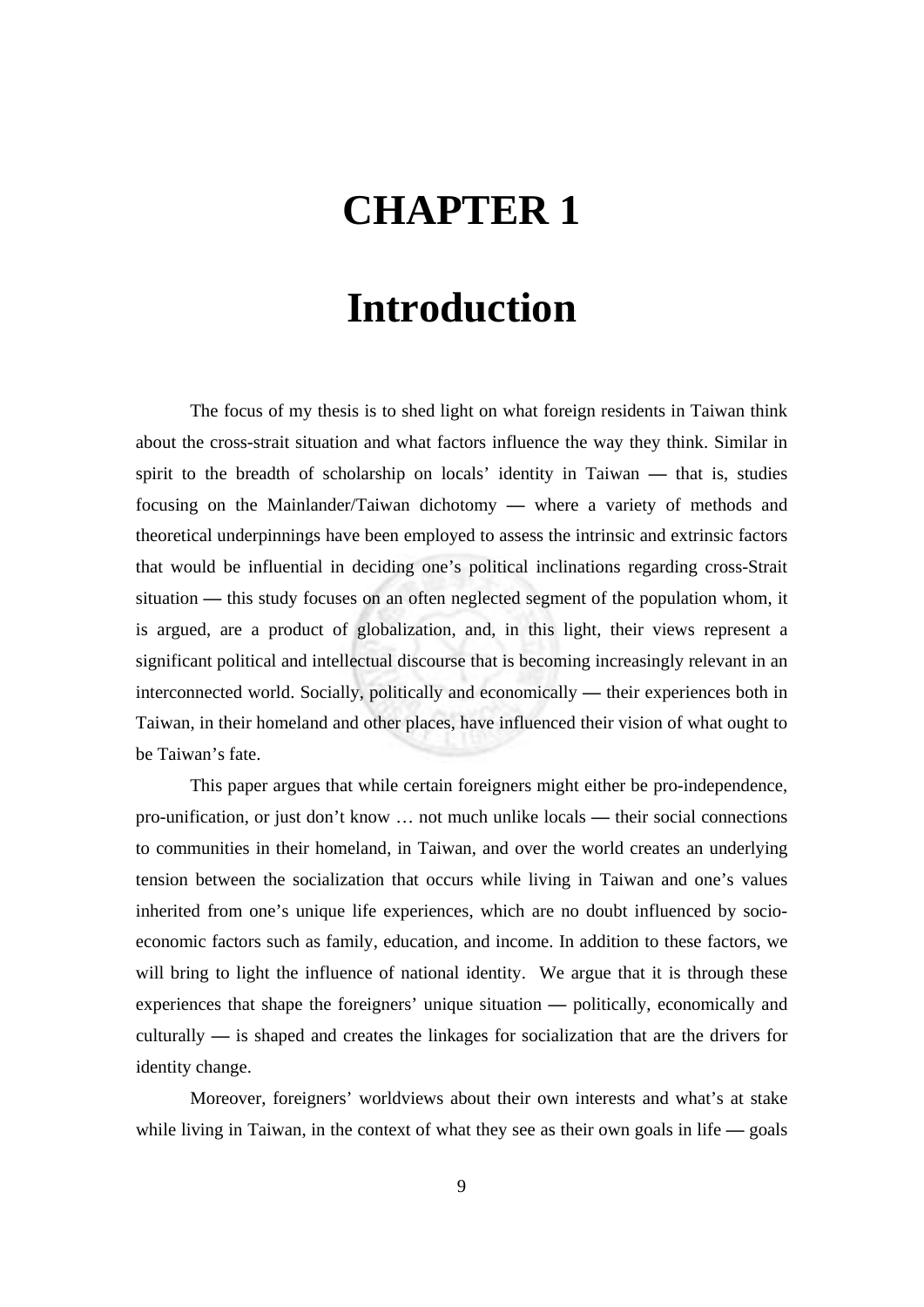## **CHAPTER 1**

## **Introduction**

The focus of my thesis is to shed light on what foreign residents in Taiwan think about the cross-strait situation and what factors influence the way they think. Similar in spirit to the breadth of scholarship on locals' identity in Taiwan **—** that is, studies focusing on the Mainlander/Taiwan dichotomy **—** where a variety of methods and theoretical underpinnings have been employed to assess the intrinsic and extrinsic factors that would be influential in deciding one's political inclinations regarding cross-Strait situation **—** this study focuses on an often neglected segment of the population whom, it is argued, are a product of globalization, and, in this light, their views represent a significant political and intellectual discourse that is becoming increasingly relevant in an interconnected world. Socially, politically and economically **—** their experiences both in Taiwan, in their homeland and other places, have influenced their vision of what ought to be Taiwan's fate.

This paper argues that while certain foreigners might either be pro-independence, pro-unification, or just don't know … not much unlike locals **—** their social connections to communities in their homeland, in Taiwan, and over the world creates an underlying tension between the socialization that occurs while living in Taiwan and one's values inherited from one's unique life experiences, which are no doubt influenced by socioeconomic factors such as family, education, and income. In addition to these factors, we will bring to light the influence of national identity. We argue that it is through these experiences that shape the foreigners' unique situation **—** politically, economically and culturally **—** is shaped and creates the linkages for socialization that are the drivers for identity change.

Moreover, foreigners' worldviews about their own interests and what's at stake while living in Taiwan, in the context of what they see as their own goals in life **—** goals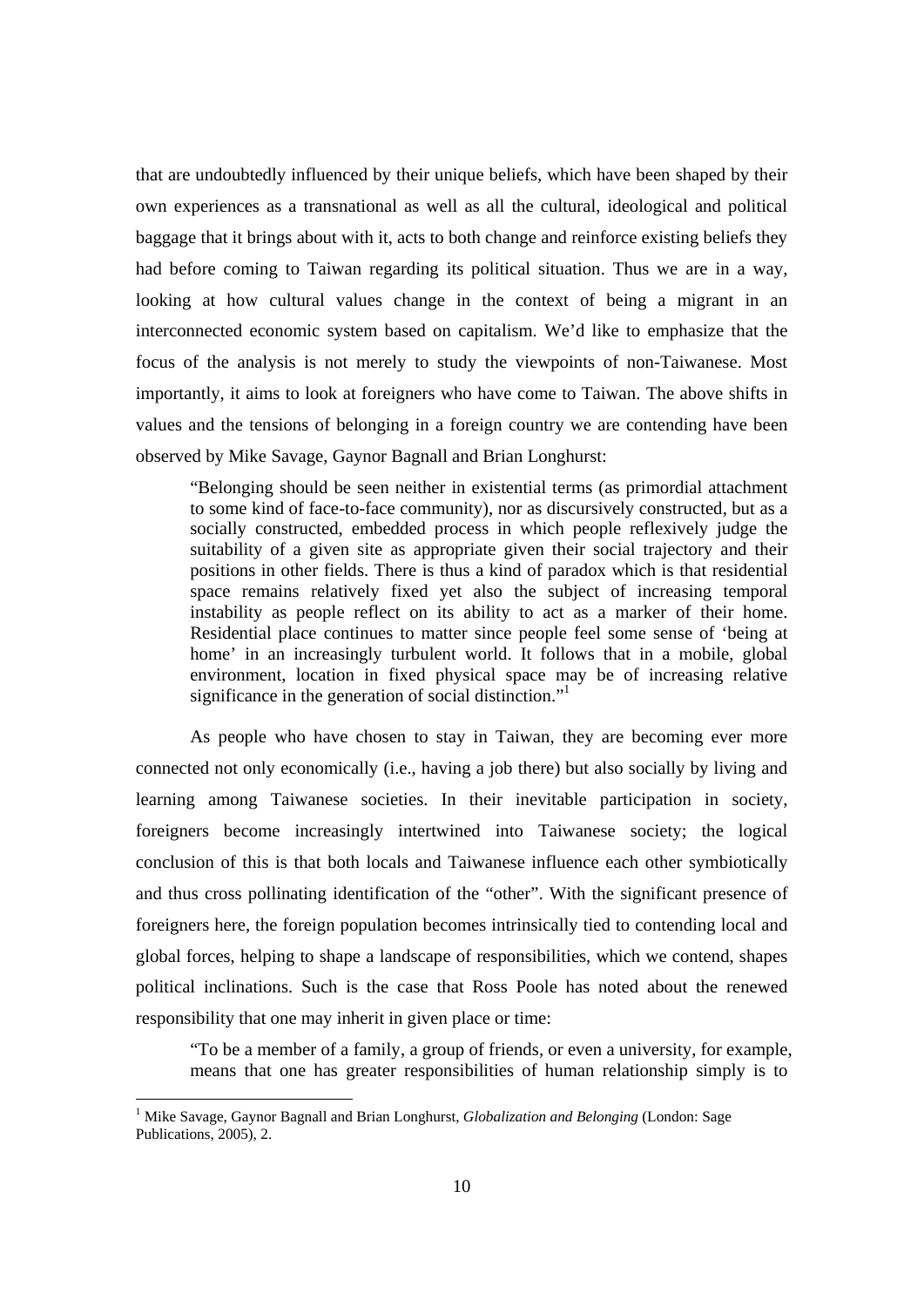that are undoubtedly influenced by their unique beliefs, which have been shaped by their own experiences as a transnational as well as all the cultural, ideological and political baggage that it brings about with it, acts to both change and reinforce existing beliefs they had before coming to Taiwan regarding its political situation. Thus we are in a way, looking at how cultural values change in the context of being a migrant in an interconnected economic system based on capitalism. We'd like to emphasize that the focus of the analysis is not merely to study the viewpoints of non-Taiwanese. Most importantly, it aims to look at foreigners who have come to Taiwan. The above shifts in values and the tensions of belonging in a foreign country we are contending have been observed by Mike Savage, Gaynor Bagnall and Brian Longhurst:

"Belonging should be seen neither in existential terms (as primordial attachment to some kind of face-to-face community), nor as discursively constructed, but as a socially constructed, embedded process in which people reflexively judge the suitability of a given site as appropriate given their social trajectory and their positions in other fields. There is thus a kind of paradox which is that residential space remains relatively fixed yet also the subject of increasing temporal instability as people reflect on its ability to act as a marker of their home. Residential place continues to matter since people feel some sense of 'being at home' in an increasingly turbulent world. It follows that in a mobile, global environment, location in fixed physical space may be of increasing relative significance in the generation of social distinction."

As people who have chosen to stay in Taiwan, they are becoming ever more connected not only economically (i.e., having a job there) but also socially by living and learning among Taiwanese societies. In their inevitable participation in society, foreigners become increasingly intertwined into Taiwanese society; the logical conclusion of this is that both locals and Taiwanese influence each other symbiotically and thus cross pollinating identification of the "other". With the significant presence of foreigners here, the foreign population becomes intrinsically tied to contending local and global forces, helping to shape a landscape of responsibilities, which we contend, shapes political inclinations. Such is the case that Ross Poole has noted about the renewed responsibility that one may inherit in given place or time:

"To be a member of a family, a group of friends, or even a university, for example, means that one has greater responsibilities of human relationship simply is to

<sup>&</sup>lt;sup>1</sup> Mike Savage, Gaynor Bagnall and Brian Longhurst, *Globalization and Belonging* (London: Sage Publications, 2005), 2.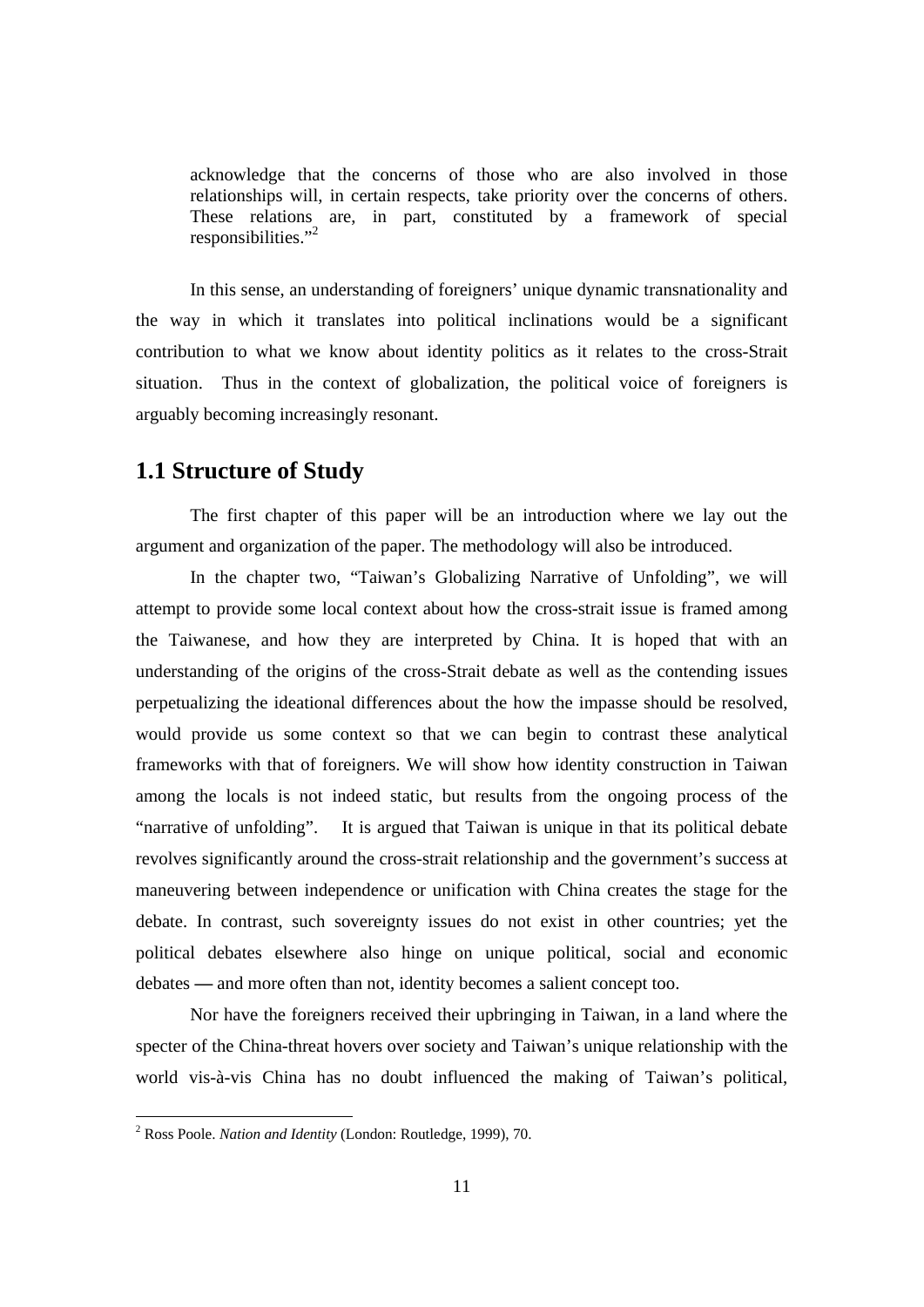acknowledge that the concerns of those who are also involved in those relationships will, in certain respects, take priority over the concerns of others. These relations are, in part, constituted by a framework of special responsibilities."<sup>2</sup>

In this sense, an understanding of foreigners' unique dynamic transnationality and the way in which it translates into political inclinations would be a significant contribution to what we know about identity politics as it relates to the cross-Strait situation. Thus in the context of globalization, the political voice of foreigners is arguably becoming increasingly resonant.

## **1.1 Structure of Study**

The first chapter of this paper will be an introduction where we lay out the argument and organization of the paper. The methodology will also be introduced.

In the chapter two, "Taiwan's Globalizing Narrative of Unfolding", we will attempt to provide some local context about how the cross-strait issue is framed among the Taiwanese, and how they are interpreted by China. It is hoped that with an understanding of the origins of the cross-Strait debate as well as the contending issues perpetualizing the ideational differences about the how the impasse should be resolved, would provide us some context so that we can begin to contrast these analytical frameworks with that of foreigners. We will show how identity construction in Taiwan among the locals is not indeed static, but results from the ongoing process of the "narrative of unfolding". It is argued that Taiwan is unique in that its political debate revolves significantly around the cross-strait relationship and the government's success at maneuvering between independence or unification with China creates the stage for the debate. In contrast, such sovereignty issues do not exist in other countries; yet the political debates elsewhere also hinge on unique political, social and economic debates **—** and more often than not, identity becomes a salient concept too.

Nor have the foreigners received their upbringing in Taiwan, in a land where the specter of the China-threat hovers over society and Taiwan's unique relationship with the world vis-à-vis China has no doubt influenced the making of Taiwan's political,

<sup>2</sup> Ross Poole. *Nation and Identity* (London: Routledge, 1999), 70.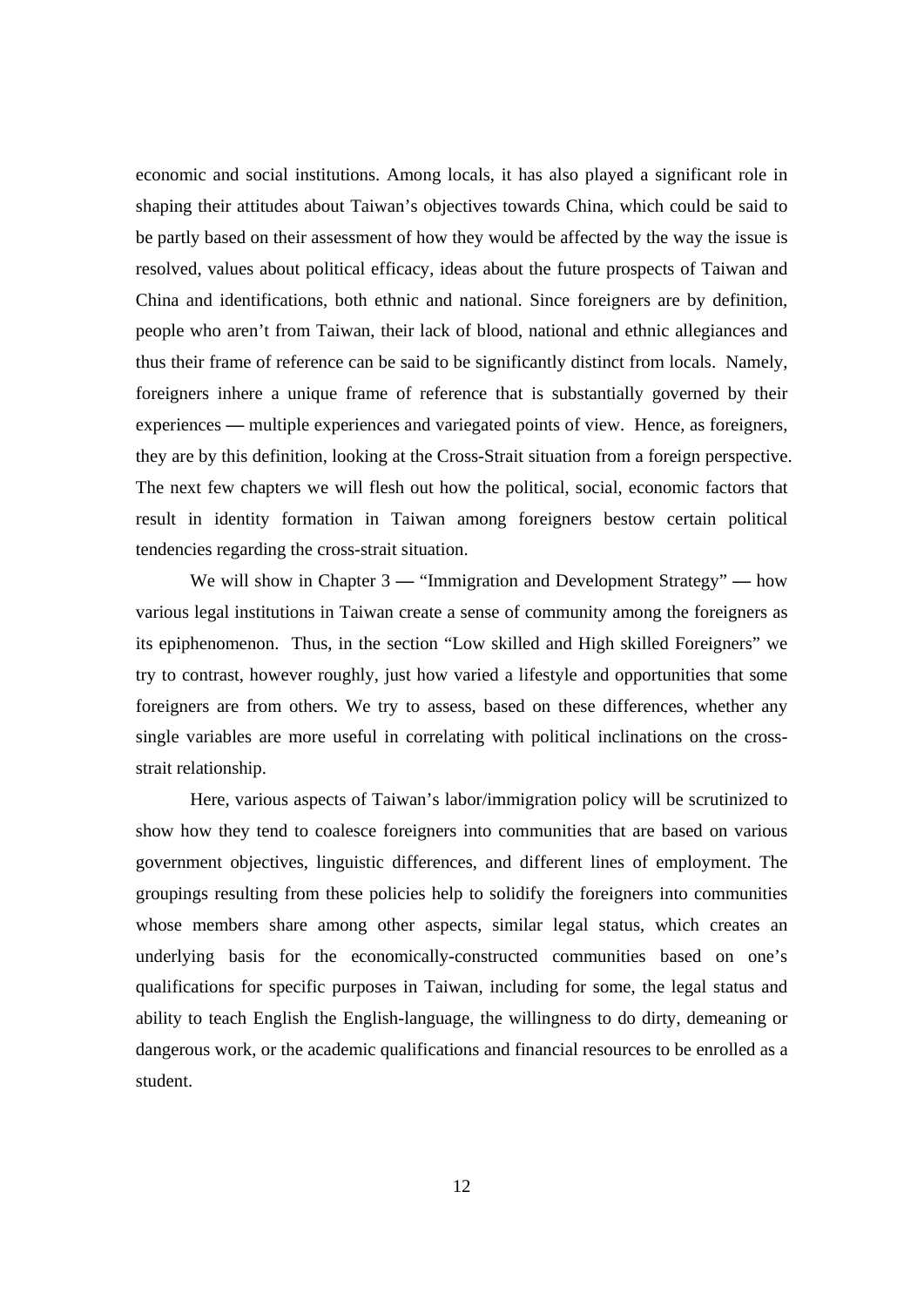economic and social institutions. Among locals, it has also played a significant role in shaping their attitudes about Taiwan's objectives towards China, which could be said to be partly based on their assessment of how they would be affected by the way the issue is resolved, values about political efficacy, ideas about the future prospects of Taiwan and China and identifications, both ethnic and national. Since foreigners are by definition, people who aren't from Taiwan, their lack of blood, national and ethnic allegiances and thus their frame of reference can be said to be significantly distinct from locals. Namely, foreigners inhere a unique frame of reference that is substantially governed by their experiences **—** multiple experiences and variegated points of view. Hence, as foreigners, they are by this definition, looking at the Cross-Strait situation from a foreign perspective. The next few chapters we will flesh out how the political, social, economic factors that result in identity formation in Taiwan among foreigners bestow certain political tendencies regarding the cross-strait situation.

We will show in Chapter 3 **—** "Immigration and Development Strategy" **—** how various legal institutions in Taiwan create a sense of community among the foreigners as its epiphenomenon. Thus, in the section "Low skilled and High skilled Foreigners" we try to contrast, however roughly, just how varied a lifestyle and opportunities that some foreigners are from others. We try to assess, based on these differences, whether any single variables are more useful in correlating with political inclinations on the crossstrait relationship.

Here, various aspects of Taiwan's labor/immigration policy will be scrutinized to show how they tend to coalesce foreigners into communities that are based on various government objectives, linguistic differences, and different lines of employment. The groupings resulting from these policies help to solidify the foreigners into communities whose members share among other aspects, similar legal status, which creates an underlying basis for the economically-constructed communities based on one's qualifications for specific purposes in Taiwan, including for some, the legal status and ability to teach English the English-language, the willingness to do dirty, demeaning or dangerous work, or the academic qualifications and financial resources to be enrolled as a student.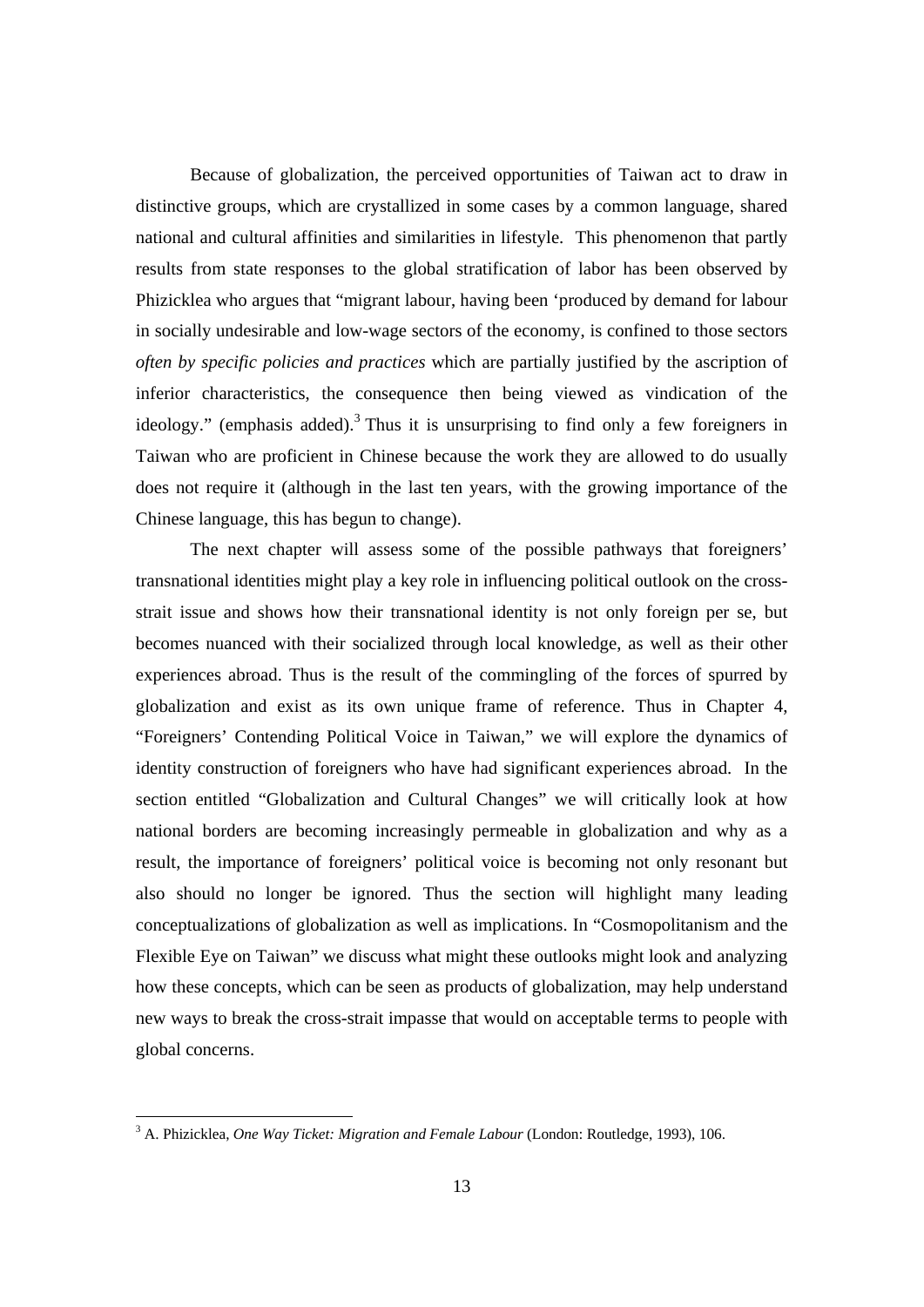Because of globalization, the perceived opportunities of Taiwan act to draw in distinctive groups, which are crystallized in some cases by a common language, shared national and cultural affinities and similarities in lifestyle. This phenomenon that partly results from state responses to the global stratification of labor has been observed by Phizicklea who argues that "migrant labour, having been 'produced by demand for labour in socially undesirable and low-wage sectors of the economy, is confined to those sectors *often by specific policies and practices* which are partially justified by the ascription of inferior characteristics, the consequence then being viewed as vindication of the ideology." (emphasis added).<sup>3</sup> Thus it is unsurprising to find only a few foreigners in Taiwan who are proficient in Chinese because the work they are allowed to do usually does not require it (although in the last ten years, with the growing importance of the Chinese language, this has begun to change).

The next chapter will assess some of the possible pathways that foreigners' transnational identities might play a key role in influencing political outlook on the crossstrait issue and shows how their transnational identity is not only foreign per se, but becomes nuanced with their socialized through local knowledge, as well as their other experiences abroad. Thus is the result of the commingling of the forces of spurred by globalization and exist as its own unique frame of reference. Thus in Chapter 4, "Foreigners' Contending Political Voice in Taiwan," we will explore the dynamics of identity construction of foreigners who have had significant experiences abroad. In the section entitled "Globalization and Cultural Changes" we will critically look at how national borders are becoming increasingly permeable in globalization and why as a result, the importance of foreigners' political voice is becoming not only resonant but also should no longer be ignored. Thus the section will highlight many leading conceptualizations of globalization as well as implications. In "Cosmopolitanism and the Flexible Eye on Taiwan" we discuss what might these outlooks might look and analyzing how these concepts, which can be seen as products of globalization, may help understand new ways to break the cross-strait impasse that would on acceptable terms to people with global concerns.

<sup>3</sup> A. Phizicklea, *One Way Ticket: Migration and Female Labour* (London: Routledge, 1993), 106.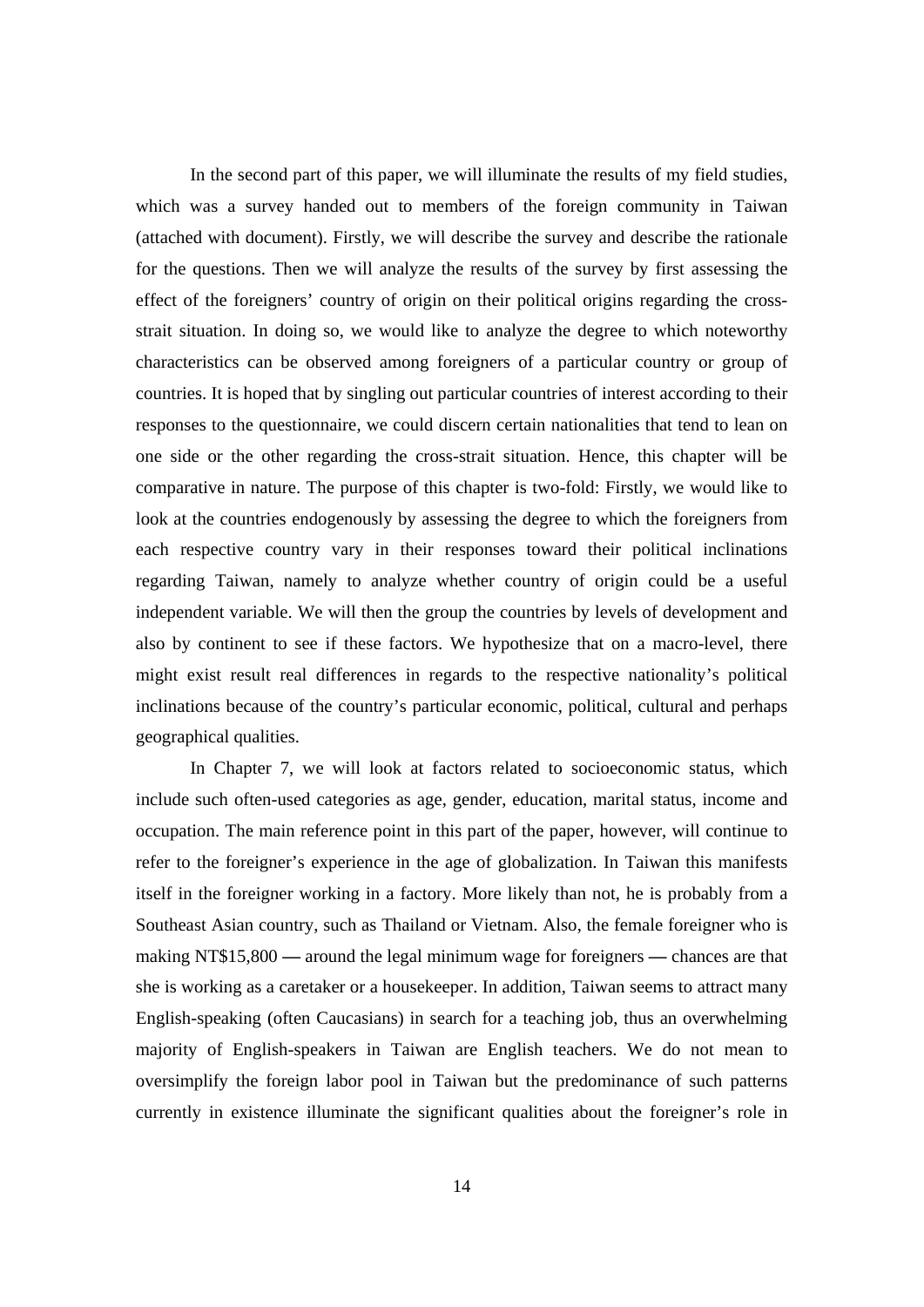In the second part of this paper, we will illuminate the results of my field studies, which was a survey handed out to members of the foreign community in Taiwan (attached with document). Firstly, we will describe the survey and describe the rationale for the questions. Then we will analyze the results of the survey by first assessing the effect of the foreigners' country of origin on their political origins regarding the crossstrait situation. In doing so, we would like to analyze the degree to which noteworthy characteristics can be observed among foreigners of a particular country or group of countries. It is hoped that by singling out particular countries of interest according to their responses to the questionnaire, we could discern certain nationalities that tend to lean on one side or the other regarding the cross-strait situation. Hence, this chapter will be comparative in nature. The purpose of this chapter is two-fold: Firstly, we would like to look at the countries endogenously by assessing the degree to which the foreigners from each respective country vary in their responses toward their political inclinations regarding Taiwan, namely to analyze whether country of origin could be a useful independent variable. We will then the group the countries by levels of development and also by continent to see if these factors. We hypothesize that on a macro-level, there might exist result real differences in regards to the respective nationality's political inclinations because of the country's particular economic, political, cultural and perhaps geographical qualities.

In Chapter 7, we will look at factors related to socioeconomic status, which include such often-used categories as age, gender, education, marital status, income and occupation. The main reference point in this part of the paper, however, will continue to refer to the foreigner's experience in the age of globalization. In Taiwan this manifests itself in the foreigner working in a factory. More likely than not, he is probably from a Southeast Asian country, such as Thailand or Vietnam. Also, the female foreigner who is making NT\$15,800 **—** around the legal minimum wage for foreigners **—** chances are that she is working as a caretaker or a housekeeper. In addition, Taiwan seems to attract many English-speaking (often Caucasians) in search for a teaching job, thus an overwhelming majority of English-speakers in Taiwan are English teachers. We do not mean to oversimplify the foreign labor pool in Taiwan but the predominance of such patterns currently in existence illuminate the significant qualities about the foreigner's role in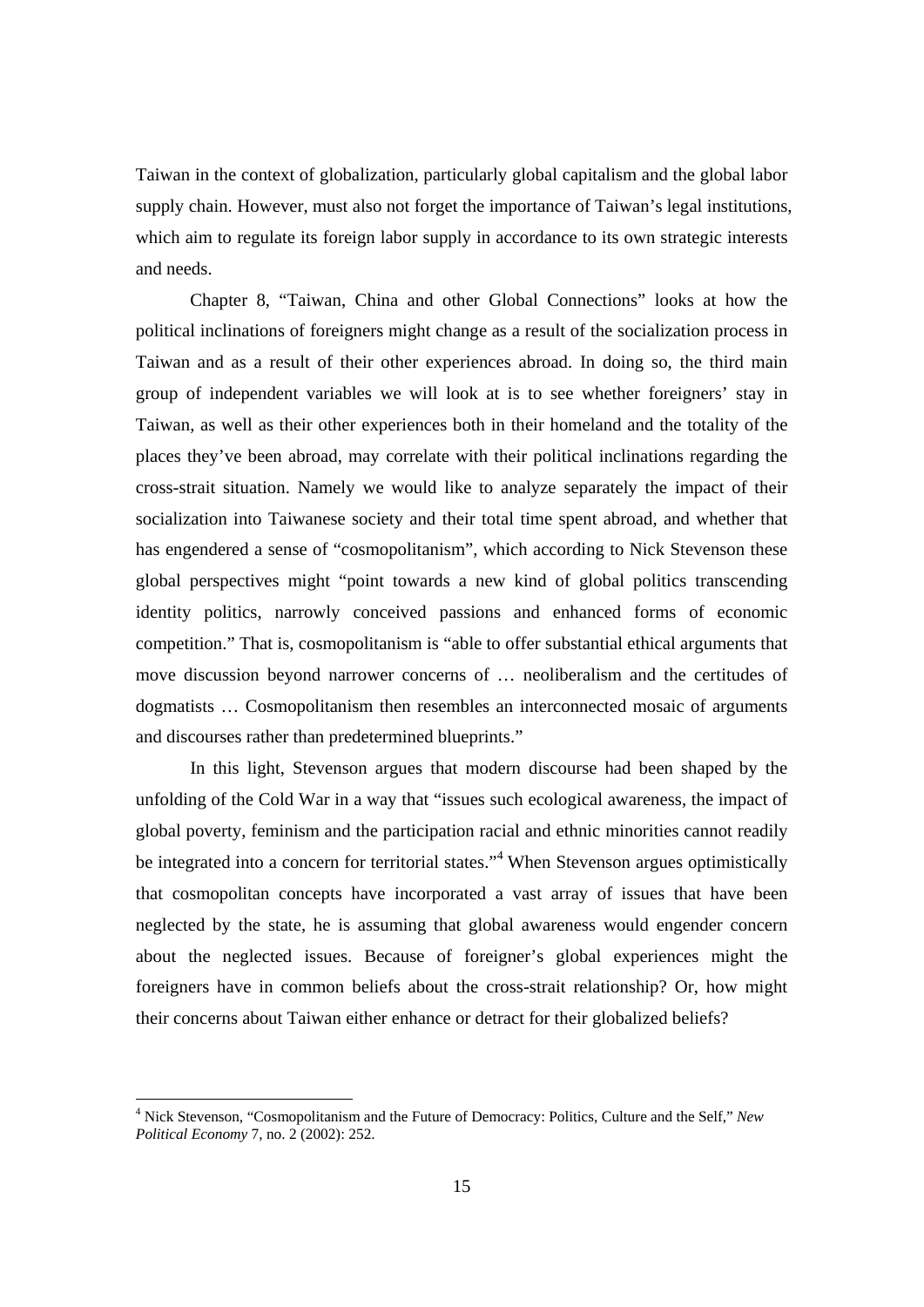Taiwan in the context of globalization, particularly global capitalism and the global labor supply chain. However, must also not forget the importance of Taiwan's legal institutions, which aim to regulate its foreign labor supply in accordance to its own strategic interests and needs.

Chapter 8, "Taiwan, China and other Global Connections" looks at how the political inclinations of foreigners might change as a result of the socialization process in Taiwan and as a result of their other experiences abroad. In doing so, the third main group of independent variables we will look at is to see whether foreigners' stay in Taiwan, as well as their other experiences both in their homeland and the totality of the places they've been abroad, may correlate with their political inclinations regarding the cross-strait situation. Namely we would like to analyze separately the impact of their socialization into Taiwanese society and their total time spent abroad, and whether that has engendered a sense of "cosmopolitanism", which according to Nick Stevenson these global perspectives might "point towards a new kind of global politics transcending identity politics, narrowly conceived passions and enhanced forms of economic competition." That is, cosmopolitanism is "able to offer substantial ethical arguments that move discussion beyond narrower concerns of … neoliberalism and the certitudes of dogmatists … Cosmopolitanism then resembles an interconnected mosaic of arguments and discourses rather than predetermined blueprints."

In this light, Stevenson argues that modern discourse had been shaped by the unfolding of the Cold War in a way that "issues such ecological awareness, the impact of global poverty, feminism and the participation racial and ethnic minorities cannot readily be integrated into a concern for territorial states."<sup>4</sup> When Stevenson argues optimistically that cosmopolitan concepts have incorporated a vast array of issues that have been neglected by the state, he is assuming that global awareness would engender concern about the neglected issues. Because of foreigner's global experiences might the foreigners have in common beliefs about the cross-strait relationship? Or, how might their concerns about Taiwan either enhance or detract for their globalized beliefs?

 4 Nick Stevenson, "Cosmopolitanism and the Future of Democracy: Politics, Culture and the Self," *New Political Economy* 7, no. 2 (2002): 252.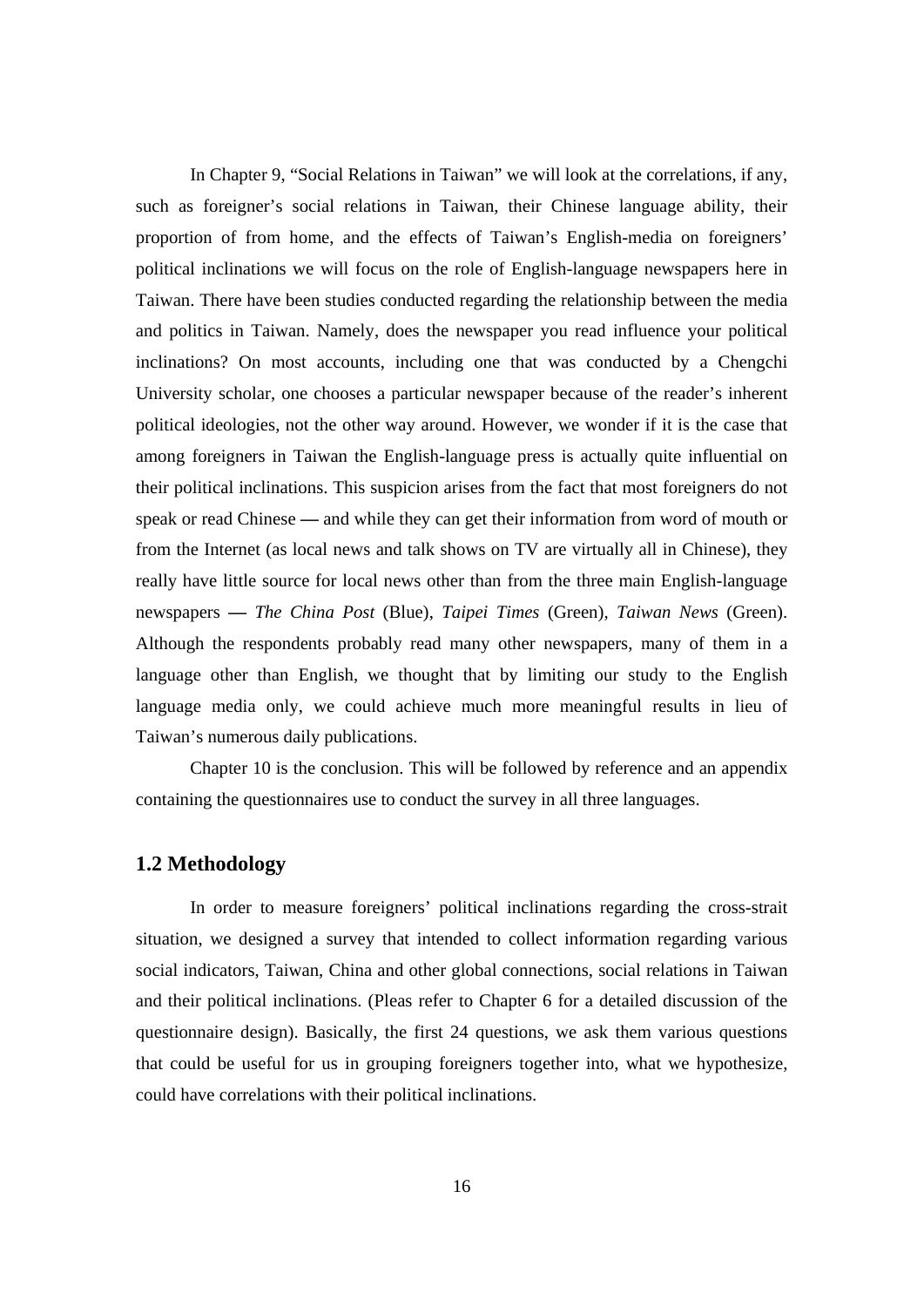In Chapter 9, "Social Relations in Taiwan" we will look at the correlations, if any, such as foreigner's social relations in Taiwan, their Chinese language ability, their proportion of from home, and the effects of Taiwan's English-media on foreigners' political inclinations we will focus on the role of English-language newspapers here in Taiwan. There have been studies conducted regarding the relationship between the media and politics in Taiwan. Namely, does the newspaper you read influence your political inclinations? On most accounts, including one that was conducted by a Chengchi University scholar, one chooses a particular newspaper because of the reader's inherent political ideologies, not the other way around. However, we wonder if it is the case that among foreigners in Taiwan the English-language press is actually quite influential on their political inclinations. This suspicion arises from the fact that most foreigners do not speak or read Chinese **—** and while they can get their information from word of mouth or from the Internet (as local news and talk shows on TV are virtually all in Chinese), they really have little source for local news other than from the three main English-language newspapers **—** *The China Post* (Blue), *Taipei Times* (Green), *Taiwan News* (Green). Although the respondents probably read many other newspapers, many of them in a language other than English, we thought that by limiting our study to the English language media only, we could achieve much more meaningful results in lieu of Taiwan's numerous daily publications.

 Chapter 10 is the conclusion. This will be followed by reference and an appendix containing the questionnaires use to conduct the survey in all three languages.

## **1.2 Methodology**

In order to measure foreigners' political inclinations regarding the cross-strait situation, we designed a survey that intended to collect information regarding various social indicators, Taiwan, China and other global connections, social relations in Taiwan and their political inclinations. (Pleas refer to Chapter 6 for a detailed discussion of the questionnaire design). Basically, the first 24 questions, we ask them various questions that could be useful for us in grouping foreigners together into, what we hypothesize, could have correlations with their political inclinations.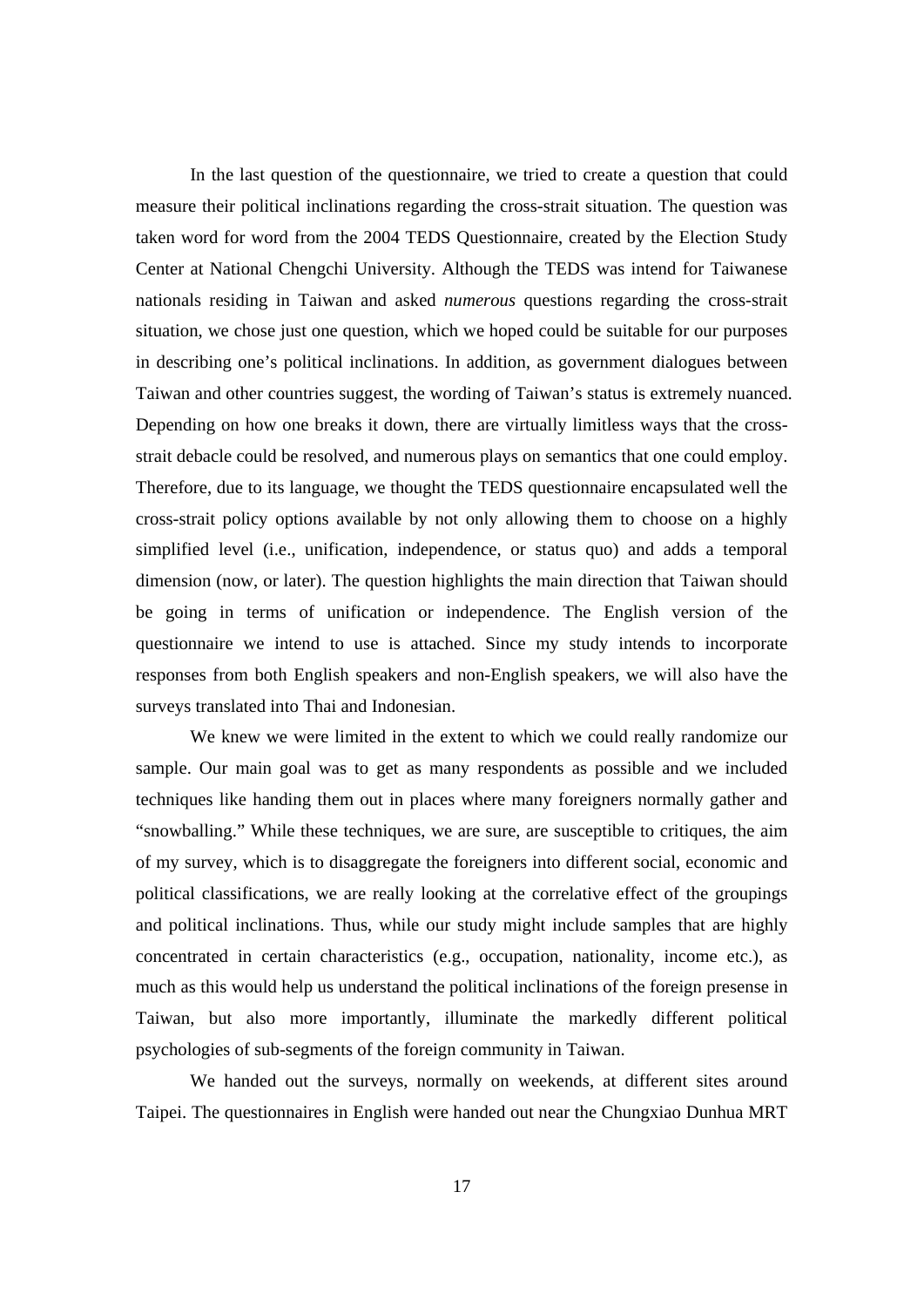In the last question of the questionnaire, we tried to create a question that could measure their political inclinations regarding the cross-strait situation. The question was taken word for word from the 2004 TEDS Questionnaire, created by the Election Study Center at National Chengchi University. Although the TEDS was intend for Taiwanese nationals residing in Taiwan and asked *numerous* questions regarding the cross-strait situation, we chose just one question, which we hoped could be suitable for our purposes in describing one's political inclinations. In addition, as government dialogues between Taiwan and other countries suggest, the wording of Taiwan's status is extremely nuanced. Depending on how one breaks it down, there are virtually limitless ways that the crossstrait debacle could be resolved, and numerous plays on semantics that one could employ. Therefore, due to its language, we thought the TEDS questionnaire encapsulated well the cross-strait policy options available by not only allowing them to choose on a highly simplified level (i.e., unification, independence, or status quo) and adds a temporal dimension (now, or later). The question highlights the main direction that Taiwan should be going in terms of unification or independence. The English version of the questionnaire we intend to use is attached. Since my study intends to incorporate responses from both English speakers and non-English speakers, we will also have the surveys translated into Thai and Indonesian.

We knew we were limited in the extent to which we could really randomize our sample. Our main goal was to get as many respondents as possible and we included techniques like handing them out in places where many foreigners normally gather and "snowballing." While these techniques, we are sure, are susceptible to critiques, the aim of my survey, which is to disaggregate the foreigners into different social, economic and political classifications, we are really looking at the correlative effect of the groupings and political inclinations. Thus, while our study might include samples that are highly concentrated in certain characteristics (e.g., occupation, nationality, income etc.), as much as this would help us understand the political inclinations of the foreign presense in Taiwan, but also more importantly, illuminate the markedly different political psychologies of sub-segments of the foreign community in Taiwan.

We handed out the surveys, normally on weekends, at different sites around Taipei. The questionnaires in English were handed out near the Chungxiao Dunhua MRT